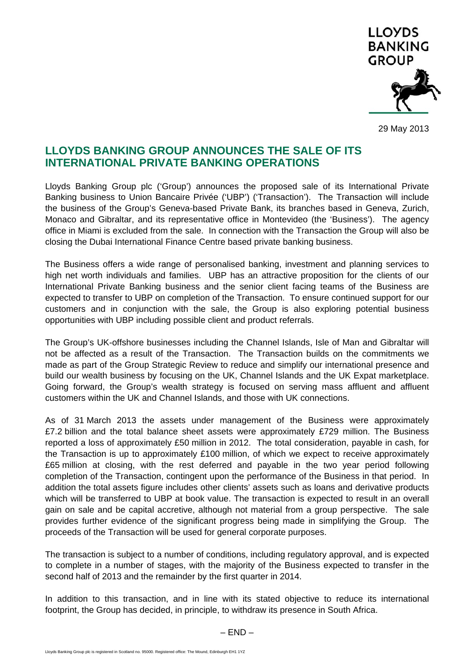

29 May 2013

## **LLOYDS BANKING GROUP ANNOUNCES THE SALE OF ITS INTERNATIONAL PRIVATE BANKING OPERATIONS**

Lloyds Banking Group plc ('Group') announces the proposed sale of its International Private Banking business to Union Bancaire Privée ('UBP') ('Transaction'). The Transaction will include the business of the Group's Geneva-based Private Bank, its branches based in Geneva, Zurich, Monaco and Gibraltar, and its representative office in Montevideo (the 'Business'). The agency office in Miami is excluded from the sale. In connection with the Transaction the Group will also be closing the Dubai International Finance Centre based private banking business.

The Business offers a wide range of personalised banking, investment and planning services to high net worth individuals and families. UBP has an attractive proposition for the clients of our International Private Banking business and the senior client facing teams of the Business are expected to transfer to UBP on completion of the Transaction. To ensure continued support for our customers and in conjunction with the sale, the Group is also exploring potential business opportunities with UBP including possible client and product referrals.

The Group's UK-offshore businesses including the Channel Islands, Isle of Man and Gibraltar will not be affected as a result of the Transaction. The Transaction builds on the commitments we made as part of the Group Strategic Review to reduce and simplify our international presence and build our wealth business by focusing on the UK, Channel Islands and the UK Expat marketplace. Going forward, the Group's wealth strategy is focused on serving mass affluent and affluent customers within the UK and Channel Islands, and those with UK connections.

As of 31 March 2013 the assets under management of the Business were approximately £7.2 billion and the total balance sheet assets were approximately £729 million. The Business reported a loss of approximately £50 million in 2012. The total consideration, payable in cash, for the Transaction is up to approximately £100 million, of which we expect to receive approximately £65 million at closing, with the rest deferred and payable in the two year period following completion of the Transaction, contingent upon the performance of the Business in that period. In addition the total assets figure includes other clients' assets such as loans and derivative products which will be transferred to UBP at book value. The transaction is expected to result in an overall gain on sale and be capital accretive, although not material from a group perspective. The sale provides further evidence of the significant progress being made in simplifying the Group. The proceeds of the Transaction will be used for general corporate purposes.

The transaction is subject to a number of conditions, including regulatory approval, and is expected to complete in a number of stages, with the majority of the Business expected to transfer in the second half of 2013 and the remainder by the first quarter in 2014.

In addition to this transaction, and in line with its stated objective to reduce its international footprint, the Group has decided, in principle, to withdraw its presence in South Africa.